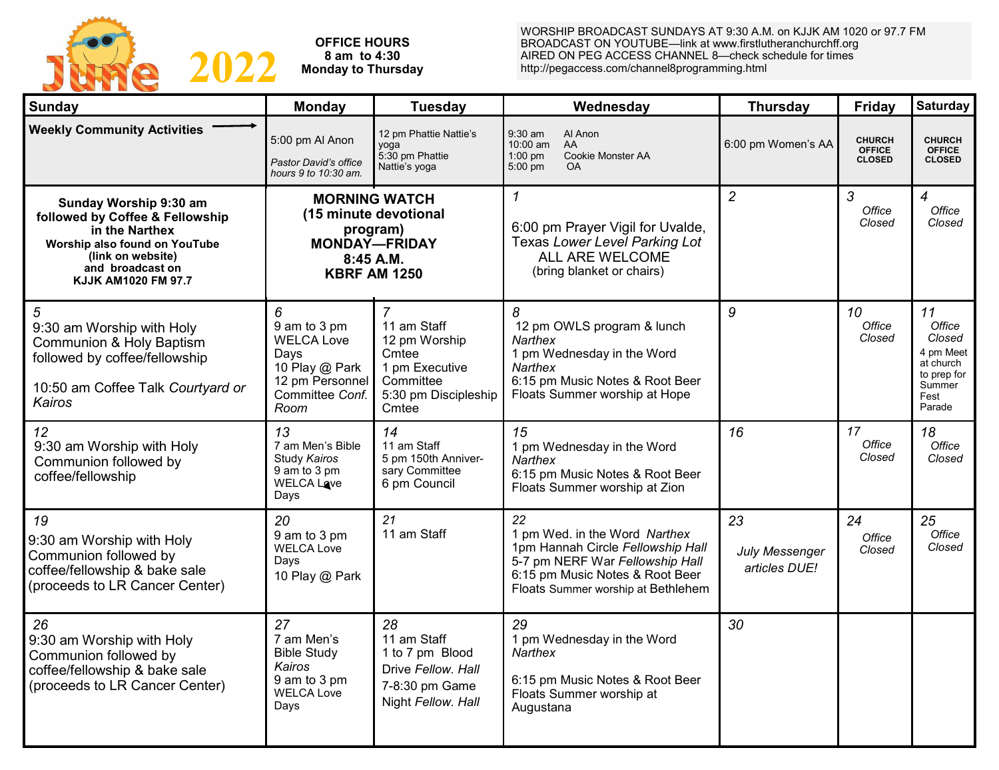

**OFFICE HOURS 8 am to 4:30 Monday to Thursday** WORSHIP BROADCAST SUNDAYS AT 9:30 A.M. on KJJK AM 1020 or 97.7 FM BROADCAST ON YOUTUBE—link at www.firstlutheranchurchff.org AIRED ON PEG ACCESS CHANNEL 8—check schedule for times http://pegaccess.com/channel8programming.html

| Sunday                                                                                                                                                                       | <b>Monday</b>                                                                                                           | <b>Tuesday</b>                                                                                        | Wednesday                                                                                                                                                                            | <b>Thursday</b>                              | <b>Friday</b>                                   | Saturday                                                                                    |
|------------------------------------------------------------------------------------------------------------------------------------------------------------------------------|-------------------------------------------------------------------------------------------------------------------------|-------------------------------------------------------------------------------------------------------|--------------------------------------------------------------------------------------------------------------------------------------------------------------------------------------|----------------------------------------------|-------------------------------------------------|---------------------------------------------------------------------------------------------|
| <b>Weekly Community Activities</b>                                                                                                                                           | 5:00 pm Al Anon<br>Pastor David's office<br>hours 9 to 10:30 am.                                                        | 12 pm Phattie Nattie's<br>yoga<br>5:30 pm Phattie<br>Nattie's yoga                                    | 9:30 am<br>Al Anon<br>$10:00$ am<br><b>AA</b><br>Cookie Monster AA<br>$1:00$ pm<br>$5:00$ pm<br><b>OA</b>                                                                            | 6:00 pm Women's AA                           | <b>CHURCH</b><br><b>OFFICE</b><br><b>CLOSED</b> | <b>CHURCH</b><br><b>OFFICE</b><br><b>CLOSED</b>                                             |
| Sunday Worship 9:30 am<br>followed by Coffee & Fellowship<br>in the Narthex<br>Worship also found on YouTube<br>(link on website)<br>and broadcast on<br>KJJK AM1020 FM 97.7 | <b>MORNING WATCH</b><br>(15 minute devotional<br>program)<br><b>MONDAY-FRIDAY</b><br>$8:45$ A.M.<br><b>KBRF AM 1250</b> |                                                                                                       | $\mathbf{1}$<br>6:00 pm Prayer Vigil for Uvalde,<br>Texas Lower Level Parking Lot<br>ALL ARE WELCOME<br>(bring blanket or chairs)                                                    | $\overline{2}$                               | 3<br>Office<br>Closed                           | $\overline{4}$<br>Office<br>Closed                                                          |
| 5<br>9:30 am Worship with Holy<br>Communion & Holy Baptism<br>followed by coffee/fellowship<br>10:50 am Coffee Talk Courtyard or<br>Kairos                                   | 6<br>9 am to 3 pm<br><b>WELCA Love</b><br>Days<br>10 Play @ Park<br>12 pm Personnel<br>Committee Conf.<br>Room          | 11 am Staff<br>12 pm Worship<br>Cmtee<br>1 pm Executive<br>Committee<br>5:30 pm Discipleship<br>Cmtee | 8<br>12 pm OWLS program & lunch<br><b>Narthex</b><br>1 pm Wednesday in the Word<br><b>Narthex</b><br>6:15 pm Music Notes & Root Beer<br>Floats Summer worship at Hope                | 9                                            | 10<br>Office<br>Closed                          | 11<br>Office<br>Closed<br>4 pm Meet<br>at church<br>to prep for<br>Summer<br>Fest<br>Parade |
| 12<br>9:30 am Worship with Holy<br>Communion followed by<br>coffee/fellowship                                                                                                | 13<br>7 am Men's Bible<br>Study Kairos<br>9 am to 3 pm<br><b>WELCA Lave</b><br>Days                                     | 14<br>11 am Staff<br>5 pm 150th Anniver-<br>sary Committee<br>6 pm Council                            | 15<br>1 pm Wednesday in the Word<br>Narthex<br>6:15 pm Music Notes & Root Beer<br>Floats Summer worship at Zion                                                                      | 16                                           | 17<br>Office<br>Closed                          | 18<br>Office<br>Closed                                                                      |
| 19<br>9:30 am Worship with Holy<br>Communion followed by<br>coffee/fellowship & bake sale<br>(proceeds to LR Cancer Center)                                                  | 20<br>9 am to 3 pm<br><b>WELCA Love</b><br>Days<br>10 Play @ Park                                                       | 21<br>11 am Staff                                                                                     | 22<br>1 pm Wed. in the Word Narthex<br>1pm Hannah Circle Fellowship Hall<br>5-7 pm NERF War Fellowship Hall<br>6:15 pm Music Notes & Root Beer<br>Floats Summer worship at Bethlehem | 23<br><b>July Messenger</b><br>articles DUE! | 24<br>Office<br>Closed                          | 25<br>Office<br>Closed                                                                      |
| 26<br>9:30 am Worship with Holy<br>Communion followed by<br>coffee/fellowship & bake sale<br>(proceeds to LR Cancer Center)                                                  | 27<br>7 am Men's<br><b>Bible Study</b><br>Kairos<br>9 am to 3 pm<br>WELCA Love<br>Days                                  | 28<br>11 am Staff<br>1 to 7 pm Blood<br>Drive Fellow, Hall<br>7-8:30 pm Game<br>Night Fellow. Hall    | 29<br>1 pm Wednesday in the Word<br><b>Narthex</b><br>6:15 pm Music Notes & Root Beer<br>Floats Summer worship at<br>Augustana                                                       | 30                                           |                                                 |                                                                                             |